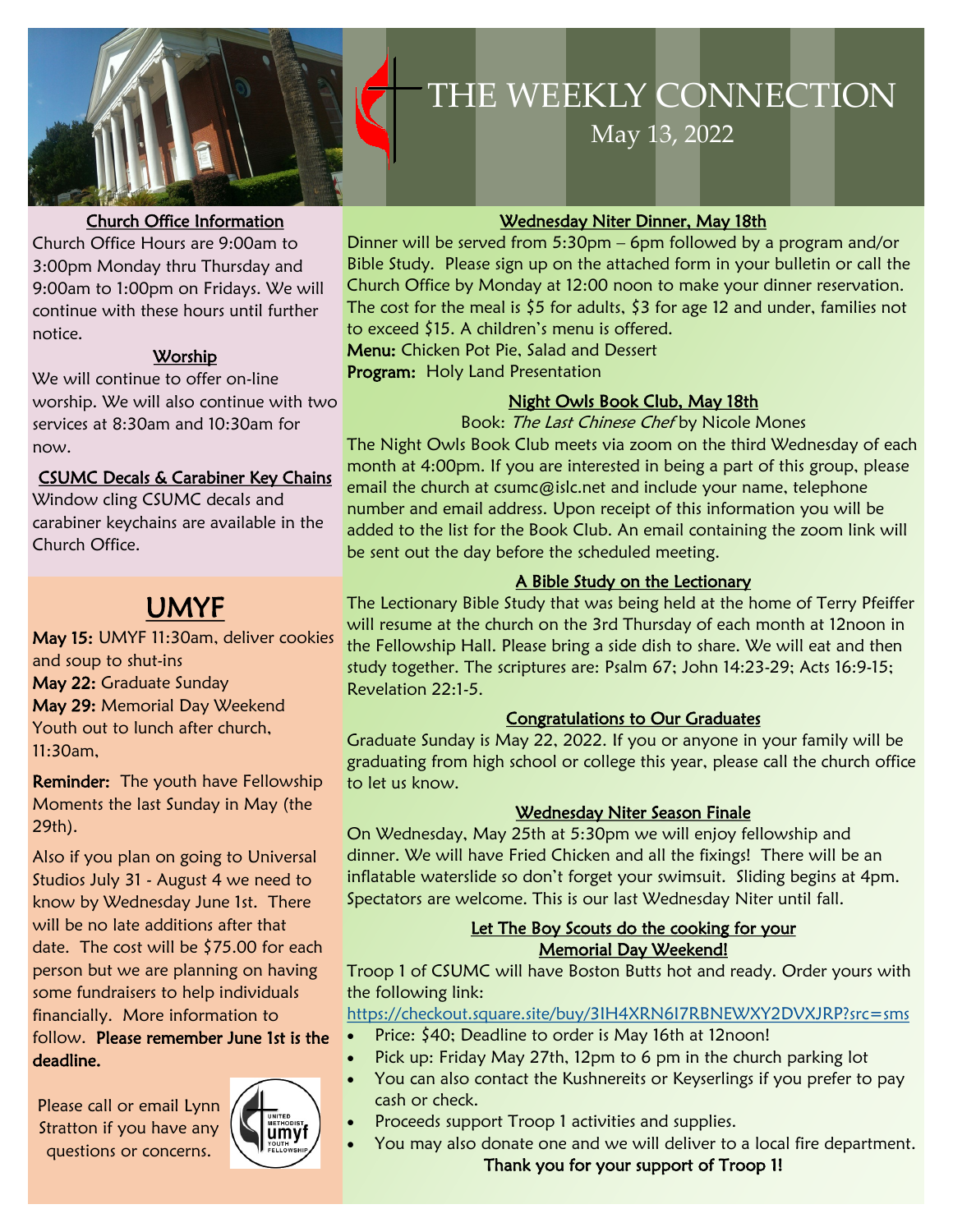

#### Church Office Information

Church Office Hours are 9:00am to 3:00pm Monday thru Thursday and 9:00am to 1:00pm on Fridays. We will continue with these hours until further notice.

#### Worship

We will continue to offer on-line worship. We will also continue with two services at 8:30am and 10:30am for now.

#### CSUMC Decals & Carabiner Key Chains

Window cling CSUMC decals and carabiner keychains are available in the Church Office.

## UMYF

May 15: UMYF 11:30am, deliver cookies and soup to shut-ins May 22: Graduate Sunday May 29: Memorial Day Weekend Youth out to lunch after church, 11:30am,

Reminder: The youth have Fellowship Moments the last Sunday in May (the 29th).

Also if you plan on going to Universal Studios July 31 - August 4 we need to know by Wednesday June 1st. There will be no late additions after that date. The cost will be \$75.00 for each person but we are planning on having some fundraisers to help individuals financially. More information to follow. Please remember June 1st is the

deadline.

Please call or email Lynn Stratton if you have any questions or concerns.



# **THE WEEKLY**  THE WEEKLY CONNECTION **CONTACTION** May 13, 2022

#### Wednesday Niter Dinner, May 18th

Dinner will be served from 5:30pm – 6pm followed by a program and/or Bible Study. Please sign up on the attached form in your bulletin or call the Church Office by Monday at 12:00 noon to make your dinner reservation. The cost for the meal is  $$5$  for adults,  $$3$  for age 12 and under, families not to exceed \$15. A children's menu is offered. Menu: Chicken Pot Pie, Salad and Dessert

Program: Holy Land Presentation

#### Night Owls Book Club, May 18th

Book: The Last Chinese Chef by Nicole Mones

The Night Owls Book Club meets via zoom on the third Wednesday of each month at 4:00pm. If you are interested in being a part of this group, please email the church at csumc@islc.net and include your name, telephone number and email address. Upon receipt of this information you will be added to the list for the Book Club. An email containing the zoom link will be sent out the day before the scheduled meeting.

#### A Bible Study on the Lectionary

The Lectionary Bible Study that was being held at the home of Terry Pfeiffer will resume at the church on the 3rd Thursday of each month at 12noon in the Fellowship Hall. Please bring a side dish to share. We will eat and then study together. The scriptures are: Psalm 67; John 14:23-29; Acts 16:9-15; Revelation 22:1-5.

#### Congratulations to Our Graduates

Graduate Sunday is May 22, 2022. If you or anyone in your family will be graduating from high school or college this year, please call the church office to let us know.

#### Wednesday Niter Season Finale

On Wednesday, May 25th at 5:30pm we will enjoy fellowship and dinner. We will have Fried Chicken and all the fixings! There will be an inflatable waterslide so don't forget your swimsuit. Sliding begins at 4pm. Spectators are welcome. This is our last Wednesday Niter until fall.

#### Let The Boy Scouts do the cooking for your Memorial Day Weekend!

Troop 1 of CSUMC will have Boston Butts hot and ready. Order yours with the following link:

<https://checkout.square.site/buy/3IH4XRN6I7RBNEWXY2DVXJRP?src=sms>

- Price: \$40; Deadline to order is May 16th at 12noon!
- Pick up: Friday May 27th, 12pm to 6 pm in the church parking lot
- You can also contact the Kushnereits or Keyserlings if you prefer to pay cash or check.
- Proceeds support Troop 1 activities and supplies.
- You may also donate one and we will deliver to a local fire department.

Thank you for your support of Troop 1!